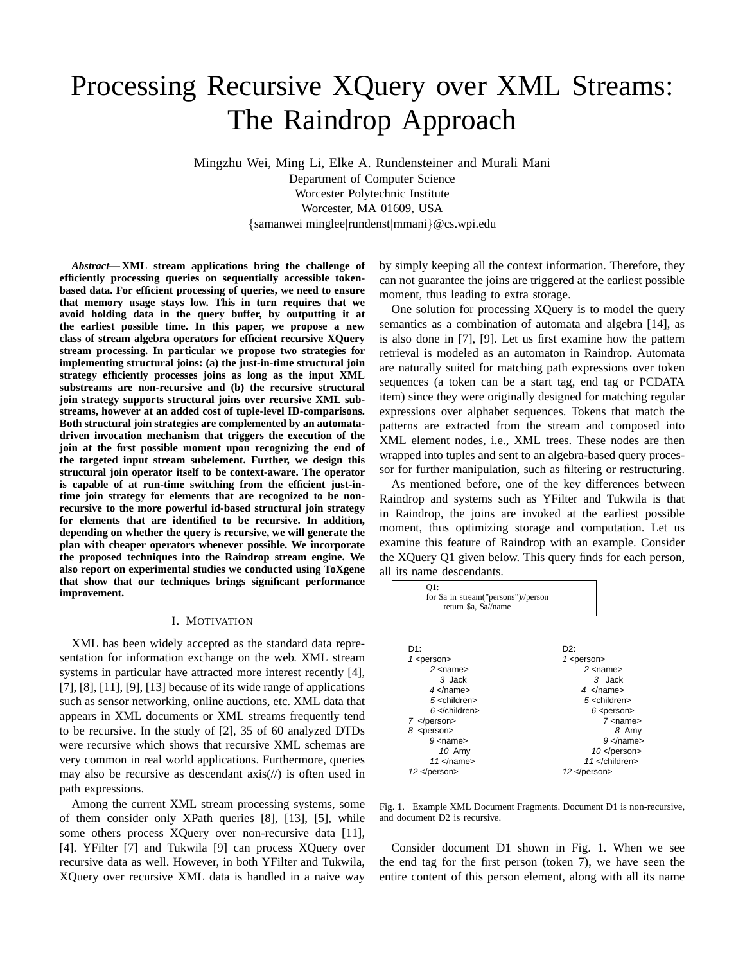# Processing Recursive XQuery over XML Streams: The Raindrop Approach

Mingzhu Wei, Ming Li, Elke A. Rundensteiner and Murali Mani Department of Computer Science Worcester Polytechnic Institute Worcester, MA 01609, USA {samanwei|minglee|rundenst|mmani}@cs.wpi.edu

*Abstract***— XML stream applications bring the challenge of efficiently processing queries on sequentially accessible tokenbased data. For efficient processing of queries, we need to ensure that memory usage stays low. This in turn requires that we avoid holding data in the query buffer, by outputting it at the earliest possible time. In this paper, we propose a new class of stream algebra operators for efficient recursive XQuery stream processing. In particular we propose two strategies for implementing structural joins: (a) the just-in-time structural join strategy efficiently processes joins as long as the input XML substreams are non-recursive and (b) the recursive structural join strategy supports structural joins over recursive XML substreams, however at an added cost of tuple-level ID-comparisons. Both structural join strategies are complemented by an automatadriven invocation mechanism that triggers the execution of the join at the first possible moment upon recognizing the end of the targeted input stream subelement. Further, we design this structural join operator itself to be context-aware. The operator is capable of at run-time switching from the efficient just-intime join strategy for elements that are recognized to be nonrecursive to the more powerful id-based structural join strategy for elements that are identified to be recursive. In addition, depending on whether the query is recursive, we will generate the plan with cheaper operators whenever possible. We incorporate the proposed techniques into the Raindrop stream engine. We also report on experimental studies we conducted using ToXgene that show that our techniques brings significant performance improvement.**

#### I. MOTIVATION

XML has been widely accepted as the standard data representation for information exchange on the web. XML stream systems in particular have attracted more interest recently [4], [7], [8], [11], [9], [13] because of its wide range of applications such as sensor networking, online auctions, etc. XML data that appears in XML documents or XML streams frequently tend to be recursive. In the study of [2], 35 of 60 analyzed DTDs were recursive which shows that recursive XML schemas are very common in real world applications. Furthermore, queries may also be recursive as descendant axis(//) is often used in path expressions.

Among the current XML stream processing systems, some of them consider only XPath queries [8], [13], [5], while some others process XQuery over non-recursive data [11], [4]. YFilter [7] and Tukwila [9] can process XQuery over recursive data as well. However, in both YFilter and Tukwila, XQuery over recursive XML data is handled in a naive way

by simply keeping all the context information. Therefore, they can not guarantee the joins are triggered at the earliest possible moment, thus leading to extra storage.

One solution for processing XQuery is to model the query semantics as a combination of automata and algebra [14], as is also done in [7], [9]. Let us first examine how the pattern retrieval is modeled as an automaton in Raindrop. Automata are naturally suited for matching path expressions over token sequences (a token can be a start tag, end tag or PCDATA item) since they were originally designed for matching regular expressions over alphabet sequences. Tokens that match the patterns are extracted from the stream and composed into XML element nodes, i.e., XML trees. These nodes are then wrapped into tuples and sent to an algebra-based query processor for further manipulation, such as filtering or restructuring.

As mentioned before, one of the key differences between Raindrop and systems such as YFilter and Tukwila is that in Raindrop, the joins are invoked at the earliest possible moment, thus optimizing storage and computation. Let us examine this feature of Raindrop with an example. Consider the XQuery Q1 given below. This query finds for each person, all its name descendants.



Fig. 1. Example XML Document Fragments. Document D1 is non-recursive, and document D2 is recursive.

Consider document D1 shown in Fig. 1. When we see the end tag for the first person (token 7), we have seen the entire content of this person element, along with all its name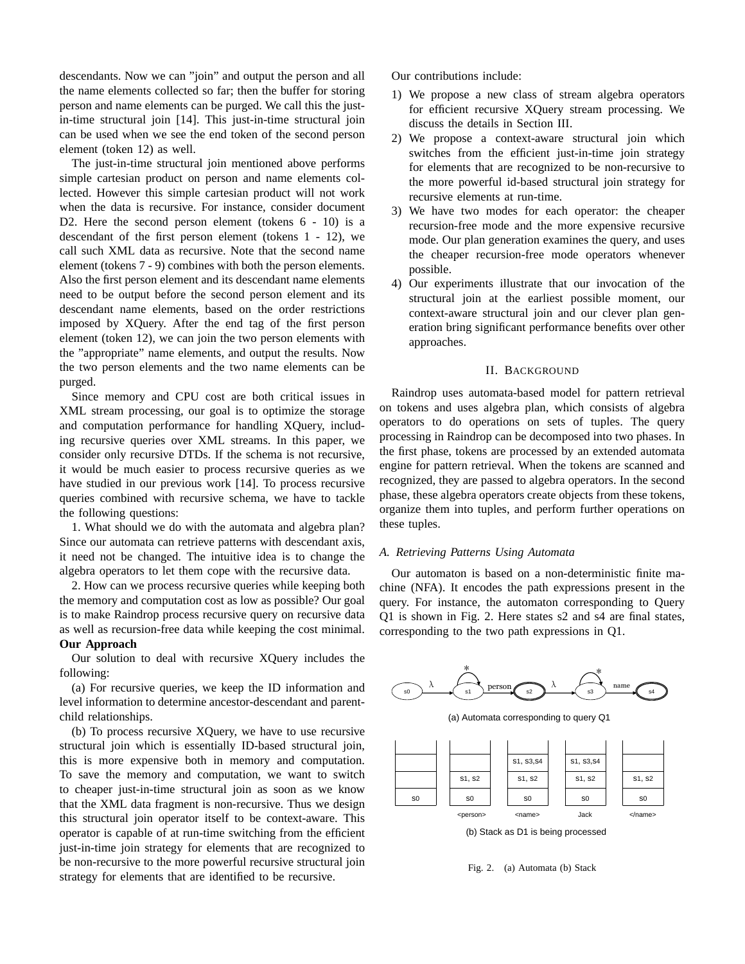descendants. Now we can "join" and output the person and all the name elements collected so far; then the buffer for storing person and name elements can be purged. We call this the justin-time structural join [14]. This just-in-time structural join can be used when we see the end token of the second person element (token 12) as well.

The just-in-time structural join mentioned above performs simple cartesian product on person and name elements collected. However this simple cartesian product will not work when the data is recursive. For instance, consider document D2. Here the second person element (tokens 6 - 10) is a descendant of the first person element (tokens 1 - 12), we call such XML data as recursive. Note that the second name element (tokens 7 - 9) combines with both the person elements. Also the first person element and its descendant name elements need to be output before the second person element and its descendant name elements, based on the order restrictions imposed by XQuery. After the end tag of the first person element (token 12), we can join the two person elements with the "appropriate" name elements, and output the results. Now the two person elements and the two name elements can be purged.

Since memory and CPU cost are both critical issues in XML stream processing, our goal is to optimize the storage and computation performance for handling XQuery, including recursive queries over XML streams. In this paper, we consider only recursive DTDs. If the schema is not recursive, it would be much easier to process recursive queries as we have studied in our previous work [14]. To process recursive queries combined with recursive schema, we have to tackle the following questions:

1. What should we do with the automata and algebra plan? Since our automata can retrieve patterns with descendant axis, it need not be changed. The intuitive idea is to change the algebra operators to let them cope with the recursive data.

2. How can we process recursive queries while keeping both the memory and computation cost as low as possible? Our goal is to make Raindrop process recursive query on recursive data as well as recursion-free data while keeping the cost minimal. **Our Approach**

Our solution to deal with recursive XQuery includes the following:

(a) For recursive queries, we keep the ID information and level information to determine ancestor-descendant and parentchild relationships.

(b) To process recursive XQuery, we have to use recursive structural join which is essentially ID-based structural join, this is more expensive both in memory and computation. To save the memory and computation, we want to switch to cheaper just-in-time structural join as soon as we know that the XML data fragment is non-recursive. Thus we design this structural join operator itself to be context-aware. This operator is capable of at run-time switching from the efficient just-in-time join strategy for elements that are recognized to be non-recursive to the more powerful recursive structural join strategy for elements that are identified to be recursive.

Our contributions include:

- 1) We propose a new class of stream algebra operators for efficient recursive XQuery stream processing. We discuss the details in Section III.
- 2) We propose a context-aware structural join which switches from the efficient just-in-time join strategy for elements that are recognized to be non-recursive to the more powerful id-based structural join strategy for recursive elements at run-time.
- 3) We have two modes for each operator: the cheaper recursion-free mode and the more expensive recursive mode. Our plan generation examines the query, and uses the cheaper recursion-free mode operators whenever possible.
- 4) Our experiments illustrate that our invocation of the structural join at the earliest possible moment, our context-aware structural join and our clever plan generation bring significant performance benefits over other approaches.

## II. BACKGROUND

Raindrop uses automata-based model for pattern retrieval on tokens and uses algebra plan, which consists of algebra operators to do operations on sets of tuples. The query processing in Raindrop can be decomposed into two phases. In the first phase, tokens are processed by an extended automata engine for pattern retrieval. When the tokens are scanned and recognized, they are passed to algebra operators. In the second phase, these algebra operators create objects from these tokens, organize them into tuples, and perform further operations on these tuples.

## *A. Retrieving Patterns Using Automata*

Our automaton is based on a non-deterministic finite machine (NFA). It encodes the path expressions present in the query. For instance, the automaton corresponding to Query Q1 is shown in Fig. 2. Here states s2 and s4 are final states, corresponding to the two path expressions in Q1.



(a) Automata corresponding to query Q1



(b) Stack as D1 is being processed

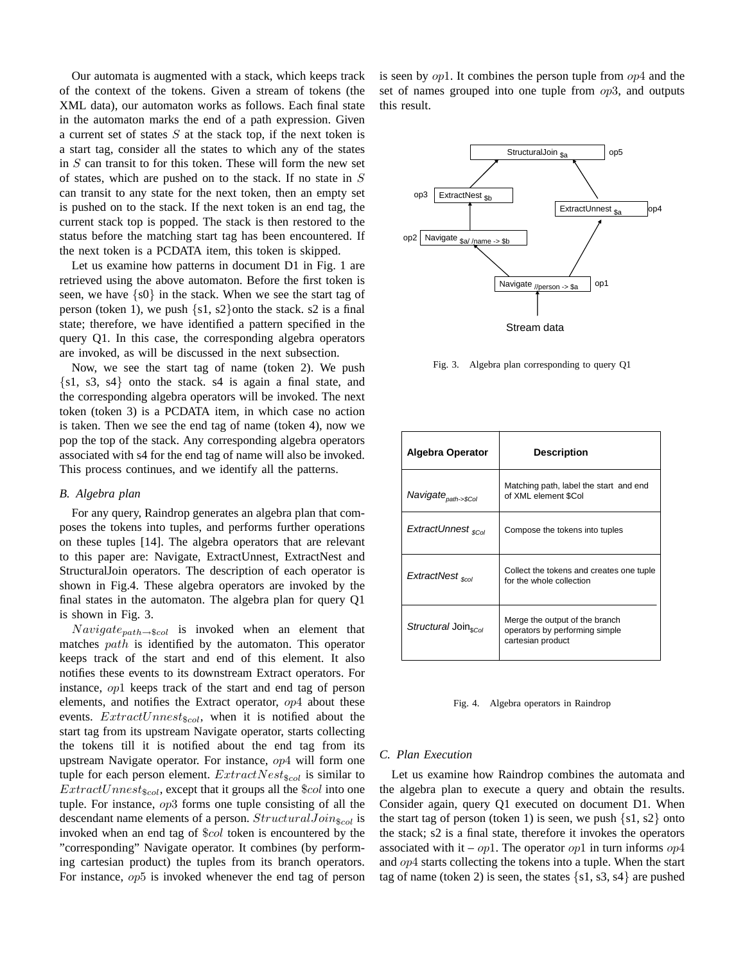Our automata is augmented with a stack, which keeps track of the context of the tokens. Given a stream of tokens (the XML data), our automaton works as follows. Each final state in the automaton marks the end of a path expression. Given a current set of states  $S$  at the stack top, if the next token is a start tag, consider all the states to which any of the states in S can transit to for this token. These will form the new set of states, which are pushed on to the stack. If no state in S can transit to any state for the next token, then an empty set is pushed on to the stack. If the next token is an end tag, the current stack top is popped. The stack is then restored to the status before the matching start tag has been encountered. If the next token is a PCDATA item, this token is skipped.

Let us examine how patterns in document D1 in Fig. 1 are retrieved using the above automaton. Before the first token is seen, we have  $\{s0\}$  in the stack. When we see the start tag of person (token 1), we push  $\{s1, s2\}$  onto the stack. s2 is a final state; therefore, we have identified a pattern specified in the query Q1. In this case, the corresponding algebra operators are invoked, as will be discussed in the next subsection.

Now, we see the start tag of name (token 2). We push {s1, s3, s4} onto the stack. s4 is again a final state, and the corresponding algebra operators will be invoked. The next token (token 3) is a PCDATA item, in which case no action is taken. Then we see the end tag of name (token 4), now we pop the top of the stack. Any corresponding algebra operators associated with s4 for the end tag of name will also be invoked. This process continues, and we identify all the patterns.

#### *B. Algebra plan*

For any query, Raindrop generates an algebra plan that composes the tokens into tuples, and performs further operations on these tuples [14]. The algebra operators that are relevant to this paper are: Navigate, ExtractUnnest, ExtractNest and StructuralJoin operators. The description of each operator is shown in Fig.4. These algebra operators are invoked by the final states in the automaton. The algebra plan for query Q1 is shown in Fig. 3.

 $Navigate_{path \to \$col}$  is invoked when an element that matches *path* is identified by the automaton. This operator keeps track of the start and end of this element. It also notifies these events to its downstream Extract operators. For instance, op1 keeps track of the start and end tag of person elements, and notifies the Extract operator, op4 about these events.  $ExtractUnnest_{\$col}$ , when it is notified about the start tag from its upstream Navigate operator, starts collecting the tokens till it is notified about the end tag from its upstream Navigate operator. For instance, op4 will form one tuple for each person element.  $ExtractNest_{\$col}$  is similar to  $ExtractUnnest<sub>Scol</sub>$ , except that it groups all the  $Scol$  into one tuple. For instance, op3 forms one tuple consisting of all the descendant name elements of a person.  $StructuralJoin_{\text{scol}}$  is invoked when an end tag of \$col token is encountered by the "corresponding" Navigate operator. It combines (by performing cartesian product) the tuples from its branch operators. For instance, op5 is invoked whenever the end tag of person is seen by  $op1$ . It combines the person tuple from  $op4$  and the set of names grouped into one tuple from  $op3$ , and outputs this result.



Fig. 3. Algebra plan corresponding to query Q1

| Algebra Operator                   | <b>Description</b>                                                                    |
|------------------------------------|---------------------------------------------------------------------------------------|
| Navigate <sub>path-&gt;\$Col</sub> | Matching path, label the start and end<br>of XML element \$Col                        |
| ExtractUnnest <sub>scol</sub>      | Compose the tokens into tuples                                                        |
| ExtractNest <sub>Scol</sub>        | Collect the tokens and creates one tuple<br>for the whole collection                  |
| Structural Join <sub>scol</sub>    | Merge the output of the branch<br>operators by performing simple<br>cartesian product |

Fig. 4. Algebra operators in Raindrop

# *C. Plan Execution*

Let us examine how Raindrop combines the automata and the algebra plan to execute a query and obtain the results. Consider again, query Q1 executed on document D1. When the start tag of person (token 1) is seen, we push  $\{s1, s2\}$  onto the stack; s2 is a final state, therefore it invokes the operators associated with it – *op*1. The operator *op*1 in turn informs *op*4 and op4 starts collecting the tokens into a tuple. When the start tag of name (token 2) is seen, the states  $\{s1, s3, s4\}$  are pushed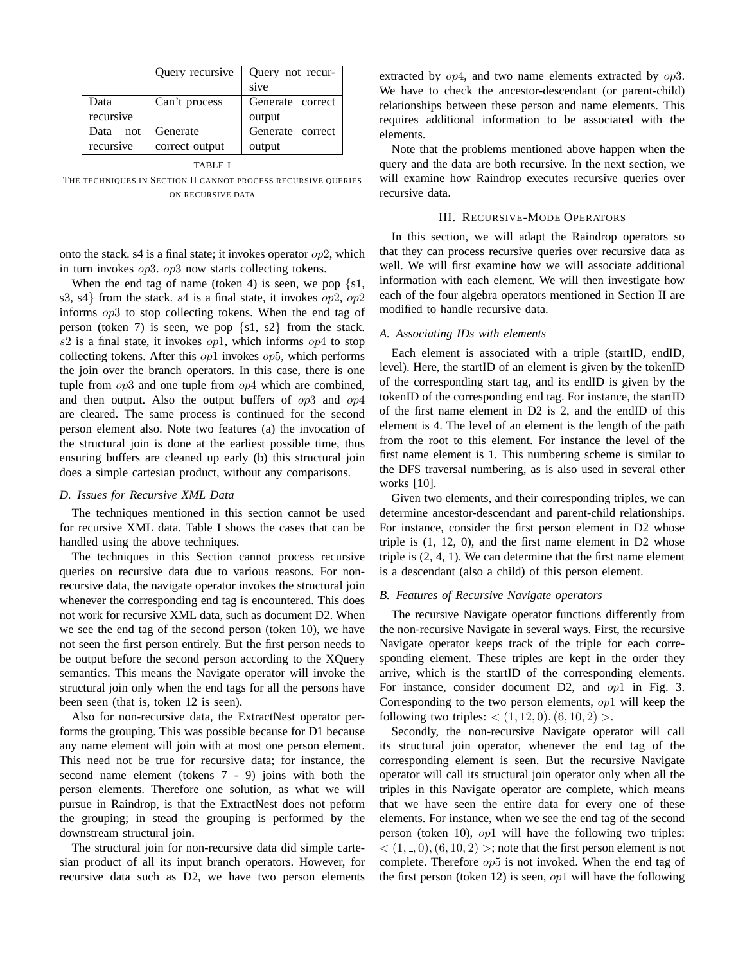| Query recursive |                | Query not recur- |
|-----------------|----------------|------------------|
|                 |                | sive             |
| Data            | Can't process  | Generate correct |
| recursive       |                | output           |
| Data<br>not     | Generate       | Generate correct |
| recursive       | correct output | output           |
|                 | TARI E I       |                  |

THE TECHNIQUES IN SECTION II CANNOT PROCESS RECURSIVE QUERIES ON RECURSIVE DATA

onto the stack.  $s4$  is a final state; it invokes operator  $op2$ , which in turn invokes op3. op3 now starts collecting tokens.

When the end tag of name (token 4) is seen, we pop  $\{s1,$ s3, s4} from the stack. s4 is a final state, it invokes  $op2$ ,  $op2$ informs op3 to stop collecting tokens. When the end tag of person (token 7) is seen, we pop  $\{s1, s2\}$  from the stack.  $s2$  is a final state, it invokes  $op1$ , which informs  $op4$  to stop collecting tokens. After this  $op1$  invokes  $op5$ , which performs the join over the branch operators. In this case, there is one tuple from  $op3$  and one tuple from  $op4$  which are combined, and then output. Also the output buffers of op3 and op4 are cleared. The same process is continued for the second person element also. Note two features (a) the invocation of the structural join is done at the earliest possible time, thus ensuring buffers are cleaned up early (b) this structural join does a simple cartesian product, without any comparisons.

## *D. Issues for Recursive XML Data*

The techniques mentioned in this section cannot be used for recursive XML data. Table I shows the cases that can be handled using the above techniques.

The techniques in this Section cannot process recursive queries on recursive data due to various reasons. For nonrecursive data, the navigate operator invokes the structural join whenever the corresponding end tag is encountered. This does not work for recursive XML data, such as document D2. When we see the end tag of the second person (token 10), we have not seen the first person entirely. But the first person needs to be output before the second person according to the XQuery semantics. This means the Navigate operator will invoke the structural join only when the end tags for all the persons have been seen (that is, token 12 is seen).

Also for non-recursive data, the ExtractNest operator performs the grouping. This was possible because for D1 because any name element will join with at most one person element. This need not be true for recursive data; for instance, the second name element (tokens 7 - 9) joins with both the person elements. Therefore one solution, as what we will pursue in Raindrop, is that the ExtractNest does not peform the grouping; in stead the grouping is performed by the downstream structural join.

The structural join for non-recursive data did simple cartesian product of all its input branch operators. However, for recursive data such as D2, we have two person elements extracted by *op*4, and two name elements extracted by *op*3. We have to check the ancestor-descendant (or parent-child) relationships between these person and name elements. This requires additional information to be associated with the elements.

Note that the problems mentioned above happen when the query and the data are both recursive. In the next section, we will examine how Raindrop executes recursive queries over recursive data.

# III. RECURSIVE-MODE OPERATORS

In this section, we will adapt the Raindrop operators so that they can process recursive queries over recursive data as well. We will first examine how we will associate additional information with each element. We will then investigate how each of the four algebra operators mentioned in Section II are modified to handle recursive data.

## *A. Associating IDs with elements*

Each element is associated with a triple (startID, endID, level). Here, the startID of an element is given by the tokenID of the corresponding start tag, and its endID is given by the tokenID of the corresponding end tag. For instance, the startID of the first name element in D2 is 2, and the endID of this element is 4. The level of an element is the length of the path from the root to this element. For instance the level of the first name element is 1. This numbering scheme is similar to the DFS traversal numbering, as is also used in several other works [10].

Given two elements, and their corresponding triples, we can determine ancestor-descendant and parent-child relationships. For instance, consider the first person element in D2 whose triple is (1, 12, 0), and the first name element in D2 whose triple is (2, 4, 1). We can determine that the first name element is a descendant (also a child) of this person element.

#### *B. Features of Recursive Navigate operators*

The recursive Navigate operator functions differently from the non-recursive Navigate in several ways. First, the recursive Navigate operator keeps track of the triple for each corresponding element. These triples are kept in the order they arrive, which is the startID of the corresponding elements. For instance, consider document D2, and op1 in Fig. 3. Corresponding to the two person elements,  $op1$  will keep the following two triples:  $\lt$  (1, 12, 0), (6, 10, 2) >.

Secondly, the non-recursive Navigate operator will call its structural join operator, whenever the end tag of the corresponding element is seen. But the recursive Navigate operator will call its structural join operator only when all the triples in this Navigate operator are complete, which means that we have seen the entire data for every one of these elements. For instance, when we see the end tag of the second person (token 10), op1 will have the following two triples:  $<$  (1,  $_{-}$ , 0), (6, 10, 2)  $>$ ; note that the first person element is not complete. Therefore op5 is not invoked. When the end tag of the first person (token 12) is seen,  $op1$  will have the following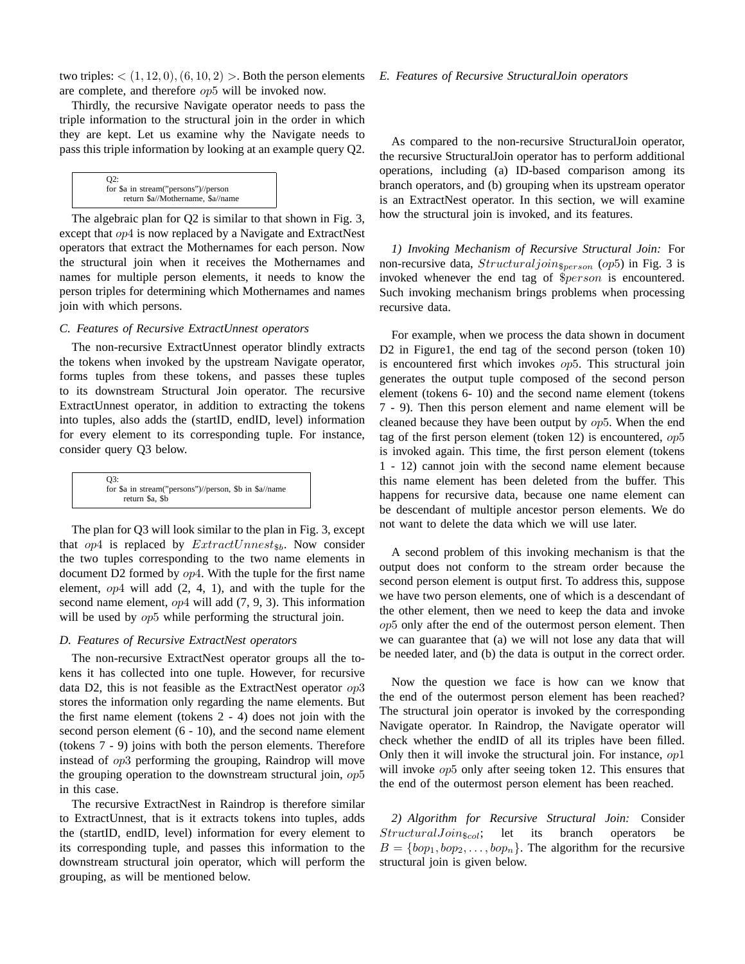two triples:  $\lt (1, 12, 0), (6, 10, 2)$ . Both the person elements are complete, and therefore op5 will be invoked now.

Thirdly, the recursive Navigate operator needs to pass the triple information to the structural join in the order in which they are kept. Let us examine why the Navigate needs to pass this triple information by looking at an example query Q2.

> Q2: for \$a in stream("persons")//person return \$a//Mothername, \$a//name

The algebraic plan for Q2 is similar to that shown in Fig. 3, except that  $op4$  is now replaced by a Navigate and ExtractNest operators that extract the Mothernames for each person. Now the structural join when it receives the Mothernames and names for multiple person elements, it needs to know the person triples for determining which Mothernames and names join with which persons.

## *C. Features of Recursive ExtractUnnest operators*

The non-recursive ExtractUnnest operator blindly extracts the tokens when invoked by the upstream Navigate operator, forms tuples from these tokens, and passes these tuples to its downstream Structural Join operator. The recursive ExtractUnnest operator, in addition to extracting the tokens into tuples, also adds the (startID, endID, level) information for every element to its corresponding tuple. For instance, consider query Q3 below.



The plan for Q3 will look similar to the plan in Fig. 3, except that op4 is replaced by  $ExtractUnnest_{\$b}$ . Now consider the two tuples corresponding to the two name elements in document D2 formed by op4. With the tuple for the first name element,  $op4$  will add  $(2, 4, 1)$ , and with the tuple for the second name element,  $op4$  will add (7, 9, 3). This information will be used by  $op5$  while performing the structural join.

#### *D. Features of Recursive ExtractNest operators*

The non-recursive ExtractNest operator groups all the tokens it has collected into one tuple. However, for recursive data D2, this is not feasible as the ExtractNest operator  $op3$ stores the information only regarding the name elements. But the first name element (tokens 2 - 4) does not join with the second person element (6 - 10), and the second name element (tokens 7 - 9) joins with both the person elements. Therefore instead of op3 performing the grouping, Raindrop will move the grouping operation to the downstream structural join,  $op5$ in this case.

The recursive ExtractNest in Raindrop is therefore similar to ExtractUnnest, that is it extracts tokens into tuples, adds the (startID, endID, level) information for every element to its corresponding tuple, and passes this information to the downstream structural join operator, which will perform the grouping, as will be mentioned below.

#### *E. Features of Recursive StructuralJoin operators*

As compared to the non-recursive StructuralJoin operator, the recursive StructuralJoin operator has to perform additional operations, including (a) ID-based comparison among its branch operators, and (b) grouping when its upstream operator is an ExtractNest operator. In this section, we will examine how the structural join is invoked, and its features.

*1) Invoking Mechanism of Recursive Structural Join:* For non-recursive data,  $Structural join_{\$person}$  (op5) in Fig. 3 is invoked whenever the end tag of \$person is encountered. Such invoking mechanism brings problems when processing recursive data.

For example, when we process the data shown in document D<sub>2</sub> in Figure<sub>1</sub>, the end tag of the second person (token 10) is encountered first which invokes op5. This structural join generates the output tuple composed of the second person element (tokens 6- 10) and the second name element (tokens 7 - 9). Then this person element and name element will be cleaned because they have been output by op5. When the end tag of the first person element (token 12) is encountered, op5 is invoked again. This time, the first person element (tokens 1 - 12) cannot join with the second name element because this name element has been deleted from the buffer. This happens for recursive data, because one name element can be descendant of multiple ancestor person elements. We do not want to delete the data which we will use later.

A second problem of this invoking mechanism is that the output does not conform to the stream order because the second person element is output first. To address this, suppose we have two person elements, one of which is a descendant of the other element, then we need to keep the data and invoke op5 only after the end of the outermost person element. Then we can guarantee that (a) we will not lose any data that will be needed later, and (b) the data is output in the correct order.

Now the question we face is how can we know that the end of the outermost person element has been reached? The structural join operator is invoked by the corresponding Navigate operator. In Raindrop, the Navigate operator will check whether the endID of all its triples have been filled. Only then it will invoke the structural join. For instance,  $op1$ will invoke *op*5 only after seeing token 12. This ensures that the end of the outermost person element has been reached.

*2) Algorithm for Recursive Structural Join:* Consider  $StructuralJoin_{\text{scol}}$ ; let its branch operators be  $B = \{bop_1, bop_2, \ldots, bop_n\}$ . The algorithm for the recursive structural join is given below.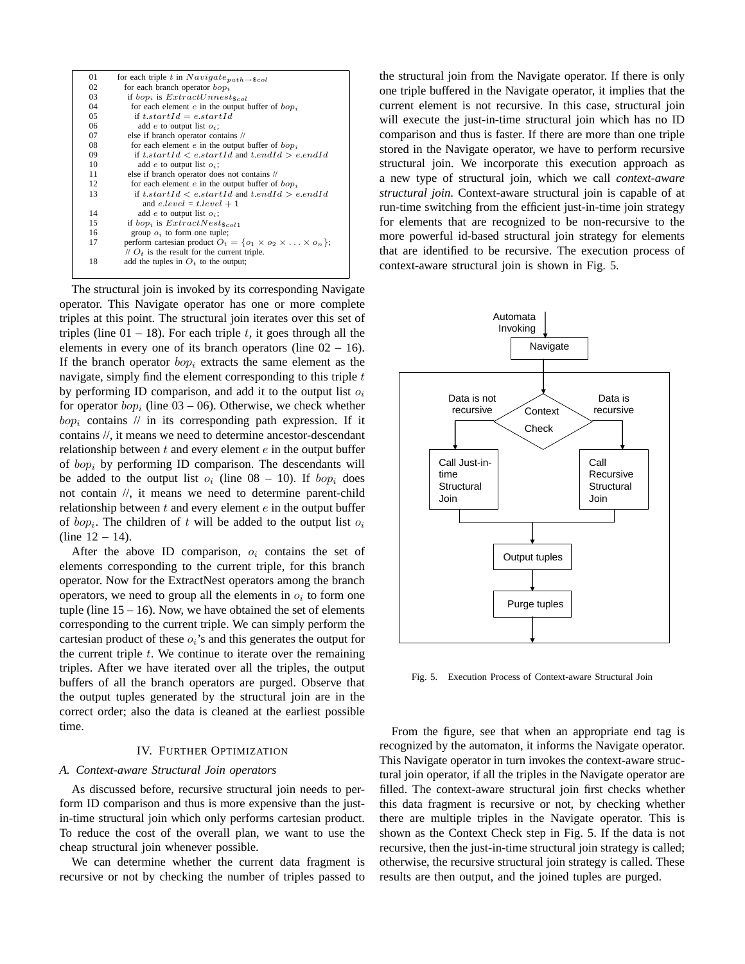| 01 | for each triple t in $Navigate_{path \rightarrow$ Scol                         |
|----|--------------------------------------------------------------------------------|
| 02 | for each branch operator $bop_i$                                               |
| 03 | if $bop_i$ is $ExtractUnnest_{Scol}$                                           |
| 04 | for each element $e$ in the output buffer of $bop_i$                           |
| 05 | if t.startId = e.startId                                                       |
| 06 | add e to output list $o_i$ ;                                                   |
| 07 | else if branch operator contains //                                            |
| 08 | for each element $e$ in the output buffer of $bop_i$                           |
| 09 | if $t.startId \leq e.startId$ and $t.endId \geq e.endId$                       |
| 10 | add e to output list $o_i$ ;                                                   |
| 11 | else if branch operator does not contains //                                   |
| 12 | for each element $e$ in the output buffer of $bop_i$                           |
| 13 | if t.startId $\lt$ e.startId and t.endId $>$ e.endId                           |
|    | and $e_{.}level = t_{.}level + 1$                                              |
| 14 | add e to output list $o_i$ ;                                                   |
| 15 | if bop <sub>i</sub> is $ExtractNest_{Scol1}$                                   |
| 16 | group $o_i$ to form one tuple;                                                 |
| 17 | perform cartesian product $O_t = \{o_1 \times o_2 \times \ldots \times o_n\};$ |
|    | // $O_t$ is the result for the current triple.                                 |
| 18 | add the tuples in $O_t$ to the output;                                         |
|    |                                                                                |

The structural join is invoked by its corresponding Navigate operator. This Navigate operator has one or more complete triples at this point. The structural join iterates over this set of triples (line  $01 - 18$ ). For each triple t, it goes through all the elements in every one of its branch operators (line  $02 - 16$ ). If the branch operator  $bop_i$  extracts the same element as the navigate, simply find the element corresponding to this triple  $t$ by performing ID comparison, and add it to the output list  $o_i$ for operator  $bop_i$  (line 03 – 06). Otherwise, we check whether  $bop_i$  contains // in its corresponding path expression. If it contains //, it means we need to determine ancestor-descendant relationship between  $t$  and every element  $e$  in the output buffer of  $bop_i$  by performing ID comparison. The descendants will be added to the output list  $o_i$  (line 08 – 10). If  $bop_i$  does not contain //, it means we need to determine parent-child relationship between  $t$  and every element  $e$  in the output buffer of  $bop_i$ . The children of t will be added to the output list  $o_i$ (line 12 – 14).

After the above ID comparison,  $o_i$  contains the set of elements corresponding to the current triple, for this branch operator. Now for the ExtractNest operators among the branch operators, we need to group all the elements in  $o_i$  to form one tuple (line  $15 - 16$ ). Now, we have obtained the set of elements corresponding to the current triple. We can simply perform the cartesian product of these  $o_i$ 's and this generates the output for the current triple  $t$ . We continue to iterate over the remaining triples. After we have iterated over all the triples, the output buffers of all the branch operators are purged. Observe that the output tuples generated by the structural join are in the correct order; also the data is cleaned at the earliest possible time.

#### IV. FURTHER OPTIMIZATION

## *A. Context-aware Structural Join operators*

As discussed before, recursive structural join needs to perform ID comparison and thus is more expensive than the justin-time structural join which only performs cartesian product. To reduce the cost of the overall plan, we want to use the cheap structural join whenever possible.

We can determine whether the current data fragment is recursive or not by checking the number of triples passed to the structural join from the Navigate operator. If there is only one triple buffered in the Navigate operator, it implies that the current element is not recursive. In this case, structural join will execute the just-in-time structural join which has no ID comparison and thus is faster. If there are more than one triple stored in the Navigate operator, we have to perform recursive structural join. We incorporate this execution approach as a new type of structural join, which we call *context-aware structural join*. Context-aware structural join is capable of at run-time switching from the efficient just-in-time join strategy for elements that are recognized to be non-recursive to the more powerful id-based structural join strategy for elements that are identified to be recursive. The execution process of context-aware structural join is shown in Fig. 5.



Fig. 5. Execution Process of Context-aware Structural Join

From the figure, see that when an appropriate end tag is recognized by the automaton, it informs the Navigate operator. This Navigate operator in turn invokes the context-aware structural join operator, if all the triples in the Navigate operator are filled. The context-aware structural join first checks whether this data fragment is recursive or not, by checking whether there are multiple triples in the Navigate operator. This is shown as the Context Check step in Fig. 5. If the data is not recursive, then the just-in-time structural join strategy is called; otherwise, the recursive structural join strategy is called. These results are then output, and the joined tuples are purged.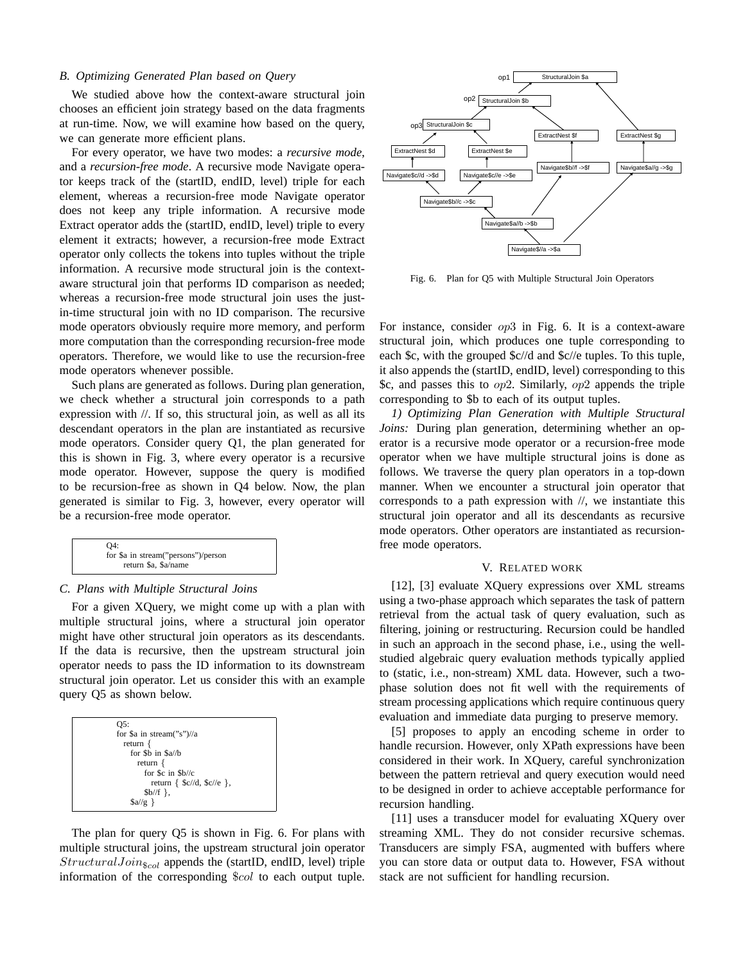#### *B. Optimizing Generated Plan based on Query*

We studied above how the context-aware structural join chooses an efficient join strategy based on the data fragments at run-time. Now, we will examine how based on the query, we can generate more efficient plans.

For every operator, we have two modes: a *recursive mode*, and a *recursion-free mode*. A recursive mode Navigate operator keeps track of the (startID, endID, level) triple for each element, whereas a recursion-free mode Navigate operator does not keep any triple information. A recursive mode Extract operator adds the (startID, endID, level) triple to every element it extracts; however, a recursion-free mode Extract operator only collects the tokens into tuples without the triple information. A recursive mode structural join is the contextaware structural join that performs ID comparison as needed; whereas a recursion-free mode structural join uses the justin-time structural join with no ID comparison. The recursive mode operators obviously require more memory, and perform more computation than the corresponding recursion-free mode operators. Therefore, we would like to use the recursion-free mode operators whenever possible.

Such plans are generated as follows. During plan generation, we check whether a structural join corresponds to a path expression with //. If so, this structural join, as well as all its descendant operators in the plan are instantiated as recursive mode operators. Consider query Q1, the plan generated for this is shown in Fig. 3, where every operator is a recursive mode operator. However, suppose the query is modified to be recursion-free as shown in Q4 below. Now, the plan generated is similar to Fig. 3, however, every operator will be a recursion-free mode operator.

| O4:                                 |  |
|-------------------------------------|--|
| for \$a in stream("persons")/person |  |
| return Sa, Sa/name                  |  |

## *C. Plans with Multiple Structural Joins*

For a given XQuery, we might come up with a plan with multiple structural joins, where a structural join operator might have other structural join operators as its descendants. If the data is recursive, then the upstream structural join operator needs to pass the ID information to its downstream structural join operator. Let us consider this with an example query Q5 as shown below.

| O5:                           |
|-------------------------------|
| for \$a in stream("s")//a     |
| return $\{$                   |
| for $$b$ in $$a/b$            |
| return $\{$                   |
| for $c$ in $b$ //c            |
| return $\{$ \$c//d, \$c//e }, |
| $b/f$ },                      |
| $a/\sqrt{g}$                  |

The plan for query Q5 is shown in Fig. 6. For plans with multiple structural joins, the upstream structural join operator  $StructuralJoin_{\text{Scol}}$  appends the (startID, endID, level) triple information of the corresponding \$col to each output tuple.



Fig. 6. Plan for Q5 with Multiple Structural Join Operators

For instance, consider *op*3 in Fig. 6. It is a context-aware structural join, which produces one tuple corresponding to each \$c, with the grouped \$c//d and \$c//e tuples. To this tuple, it also appends the (startID, endID, level) corresponding to this \$c, and passes this to  $op2$ . Similarly,  $op2$  appends the triple corresponding to \$b to each of its output tuples.

*1) Optimizing Plan Generation with Multiple Structural Joins:* During plan generation, determining whether an operator is a recursive mode operator or a recursion-free mode operator when we have multiple structural joins is done as follows. We traverse the query plan operators in a top-down manner. When we encounter a structural join operator that corresponds to a path expression with //, we instantiate this structural join operator and all its descendants as recursive mode operators. Other operators are instantiated as recursionfree mode operators.

## V. RELATED WORK

[12], [3] evaluate XQuery expressions over XML streams using a two-phase approach which separates the task of pattern retrieval from the actual task of query evaluation, such as filtering, joining or restructuring. Recursion could be handled in such an approach in the second phase, i.e., using the wellstudied algebraic query evaluation methods typically applied to (static, i.e., non-stream) XML data. However, such a twophase solution does not fit well with the requirements of stream processing applications which require continuous query evaluation and immediate data purging to preserve memory.

[5] proposes to apply an encoding scheme in order to handle recursion. However, only XPath expressions have been considered in their work. In XQuery, careful synchronization between the pattern retrieval and query execution would need to be designed in order to achieve acceptable performance for recursion handling.

[11] uses a transducer model for evaluating XQuery over streaming XML. They do not consider recursive schemas. Transducers are simply FSA, augmented with buffers where you can store data or output data to. However, FSA without stack are not sufficient for handling recursion.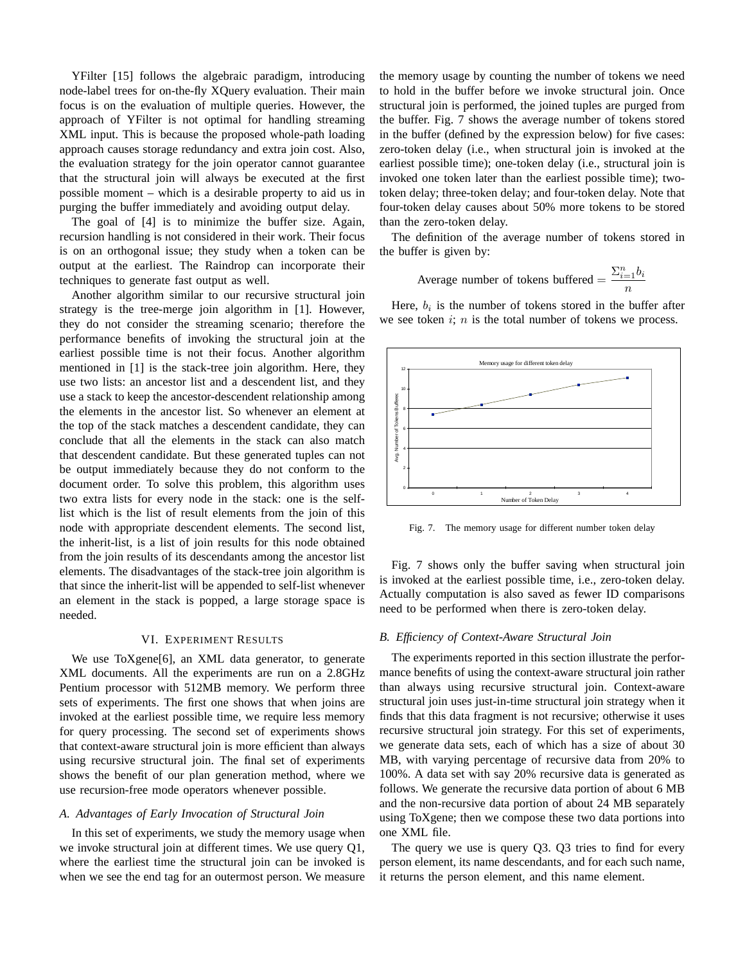YFilter [15] follows the algebraic paradigm, introducing node-label trees for on-the-fly XQuery evaluation. Their main focus is on the evaluation of multiple queries. However, the approach of YFilter is not optimal for handling streaming XML input. This is because the proposed whole-path loading approach causes storage redundancy and extra join cost. Also, the evaluation strategy for the join operator cannot guarantee that the structural join will always be executed at the first possible moment – which is a desirable property to aid us in purging the buffer immediately and avoiding output delay.

The goal of [4] is to minimize the buffer size. Again, recursion handling is not considered in their work. Their focus is on an orthogonal issue; they study when a token can be output at the earliest. The Raindrop can incorporate their techniques to generate fast output as well.

Another algorithm similar to our recursive structural join strategy is the tree-merge join algorithm in [1]. However, they do not consider the streaming scenario; therefore the performance benefits of invoking the structural join at the earliest possible time is not their focus. Another algorithm mentioned in [1] is the stack-tree join algorithm. Here, they use two lists: an ancestor list and a descendent list, and they use a stack to keep the ancestor-descendent relationship among the elements in the ancestor list. So whenever an element at the top of the stack matches a descendent candidate, they can conclude that all the elements in the stack can also match that descendent candidate. But these generated tuples can not be output immediately because they do not conform to the document order. To solve this problem, this algorithm uses two extra lists for every node in the stack: one is the selflist which is the list of result elements from the join of this node with appropriate descendent elements. The second list, the inherit-list, is a list of join results for this node obtained from the join results of its descendants among the ancestor list elements. The disadvantages of the stack-tree join algorithm is that since the inherit-list will be appended to self-list whenever an element in the stack is popped, a large storage space is needed.

### VI. EXPERIMENT RESULTS

We use ToXgene[6], an XML data generator, to generate XML documents. All the experiments are run on a 2.8GHz Pentium processor with 512MB memory. We perform three sets of experiments. The first one shows that when joins are invoked at the earliest possible time, we require less memory for query processing. The second set of experiments shows that context-aware structural join is more efficient than always using recursive structural join. The final set of experiments shows the benefit of our plan generation method, where we use recursion-free mode operators whenever possible.

## *A. Advantages of Early Invocation of Structural Join*

In this set of experiments, we study the memory usage when we invoke structural join at different times. We use query Q1, where the earliest time the structural join can be invoked is when we see the end tag for an outermost person. We measure the memory usage by counting the number of tokens we need to hold in the buffer before we invoke structural join. Once structural join is performed, the joined tuples are purged from the buffer. Fig. 7 shows the average number of tokens stored in the buffer (defined by the expression below) for five cases: zero-token delay (i.e., when structural join is invoked at the earliest possible time); one-token delay (i.e., structural join is invoked one token later than the earliest possible time); twotoken delay; three-token delay; and four-token delay. Note that four-token delay causes about 50% more tokens to be stored than the zero-token delay.

The definition of the average number of tokens stored in the buffer is given by:

Average number of tokens buffered = 
$$
\frac{\sum_{i=1}^{n} b_i}{n}
$$

Here,  $b_i$  is the number of tokens stored in the buffer after we see token  $i$ ;  $n$  is the total number of tokens we process.



Fig. 7. The memory usage for different number token delay

Fig. 7 shows only the buffer saving when structural join is invoked at the earliest possible time, i.e., zero-token delay. Actually computation is also saved as fewer ID comparisons need to be performed when there is zero-token delay.

## *B. Efficiency of Context-Aware Structural Join*

The experiments reported in this section illustrate the performance benefits of using the context-aware structural join rather than always using recursive structural join. Context-aware structural join uses just-in-time structural join strategy when it finds that this data fragment is not recursive; otherwise it uses recursive structural join strategy. For this set of experiments, we generate data sets, each of which has a size of about 30 MB, with varying percentage of recursive data from 20% to 100%. A data set with say 20% recursive data is generated as follows. We generate the recursive data portion of about 6 MB and the non-recursive data portion of about 24 MB separately using ToXgene; then we compose these two data portions into one XML file.

The query we use is query Q3. Q3 tries to find for every person element, its name descendants, and for each such name, it returns the person element, and this name element.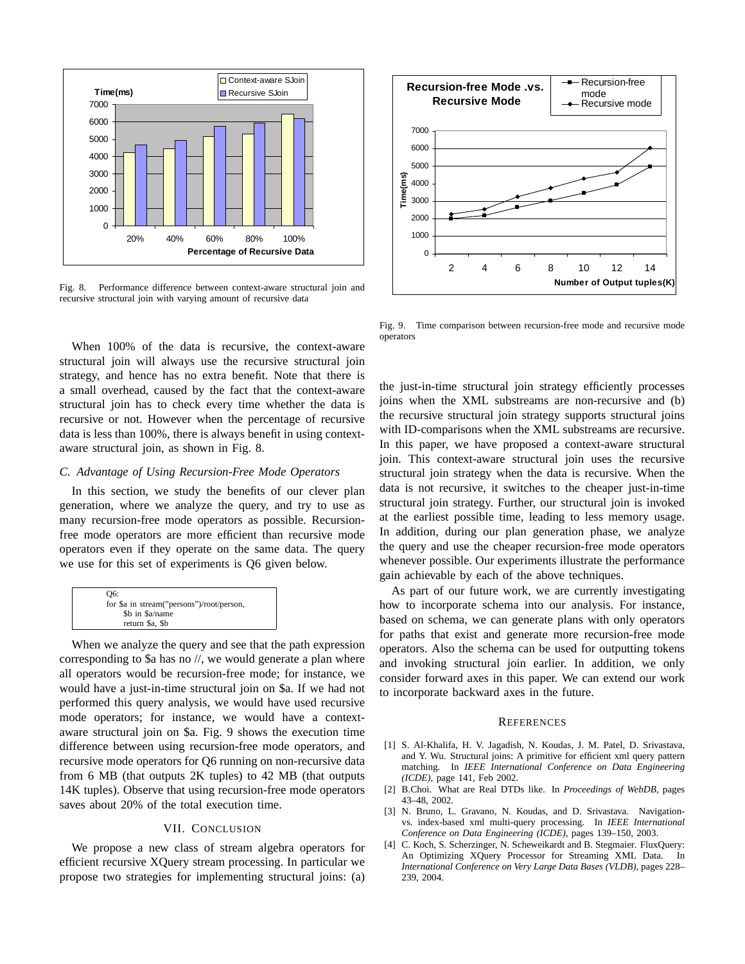

Fig. 8. Performance difference between context-aware structural join and recursive structural join with varying amount of recursive data

When 100% of the data is recursive, the context-aware structural join will always use the recursive structural join strategy, and hence has no extra benefit. Note that there is a small overhead, caused by the fact that the context-aware structural join has to check every time whether the data is recursive or not. However when the percentage of recursive data is less than 100%, there is always benefit in using contextaware structural join, as shown in Fig. 8.

#### *C. Advantage of Using Recursion-Free Mode Operators*

In this section, we study the benefits of our clever plan generation, where we analyze the query, and try to use as many recursion-free mode operators as possible. Recursionfree mode operators are more efficient than recursive mode operators even if they operate on the same data. The query we use for this set of experiments is Q6 given below.

| O6:                                       |  |
|-------------------------------------------|--|
| for \$a in stream("persons")/root/person, |  |
| \$b in \$a/name                           |  |
| return \$a, \$b                           |  |

When we analyze the query and see that the path expression corresponding to \$a has no //, we would generate a plan where all operators would be recursion-free mode; for instance, we would have a just-in-time structural join on \$a. If we had not performed this query analysis, we would have used recursive mode operators; for instance, we would have a contextaware structural join on \$a. Fig. 9 shows the execution time difference between using recursion-free mode operators, and recursive mode operators for Q6 running on non-recursive data from 6 MB (that outputs 2K tuples) to 42 MB (that outputs 14K tuples). Observe that using recursion-free mode operators saves about 20% of the total execution time.

# VII. CONCLUSION

We propose a new class of stream algebra operators for efficient recursive XQuery stream processing. In particular we propose two strategies for implementing structural joins: (a)



Fig. 9. Time comparison between recursion-free mode and recursive mode operators

the just-in-time structural join strategy efficiently processes joins when the XML substreams are non-recursive and (b) the recursive structural join strategy supports structural joins with ID-comparisons when the XML substreams are recursive. In this paper, we have proposed a context-aware structural join. This context-aware structural join uses the recursive structural join strategy when the data is recursive. When the data is not recursive, it switches to the cheaper just-in-time structural join strategy. Further, our structural join is invoked at the earliest possible time, leading to less memory usage. In addition, during our plan generation phase, we analyze the query and use the cheaper recursion-free mode operators whenever possible. Our experiments illustrate the performance gain achievable by each of the above techniques.

As part of our future work, we are currently investigating how to incorporate schema into our analysis. For instance, based on schema, we can generate plans with only operators for paths that exist and generate more recursion-free mode operators. Also the schema can be used for outputting tokens and invoking structural join earlier. In addition, we only consider forward axes in this paper. We can extend our work to incorporate backward axes in the future.

#### **REFERENCES**

- [1] S. Al-Khalifa, H. V. Jagadish, N. Koudas, J. M. Patel, D. Srivastava, and Y. Wu. Structural joins: A primitive for efficient xml query pattern matching. In *IEEE International Conference on Data Engineering (ICDE)*, page 141, Feb 2002.
- [2] B.Choi. What are Real DTDs like. In *Proceedings of WebDB*, pages 43–48, 2002.
- [3] N. Bruno, L. Gravano, N. Koudas, and D. Srivastava. Navigationvs. index-based xml multi-query processing. In *IEEE International Conference on Data Engineering (ICDE)*, pages 139–150, 2003.
- [4] C. Koch, S. Scherzinger, N. Scheweikardt and B. Stegmaier. FluxQuery: An Optimizing XQuery Processor for Streaming XML Data. In *International Conference on Very Large Data Bases (VLDB)*, pages 228– 239, 2004.